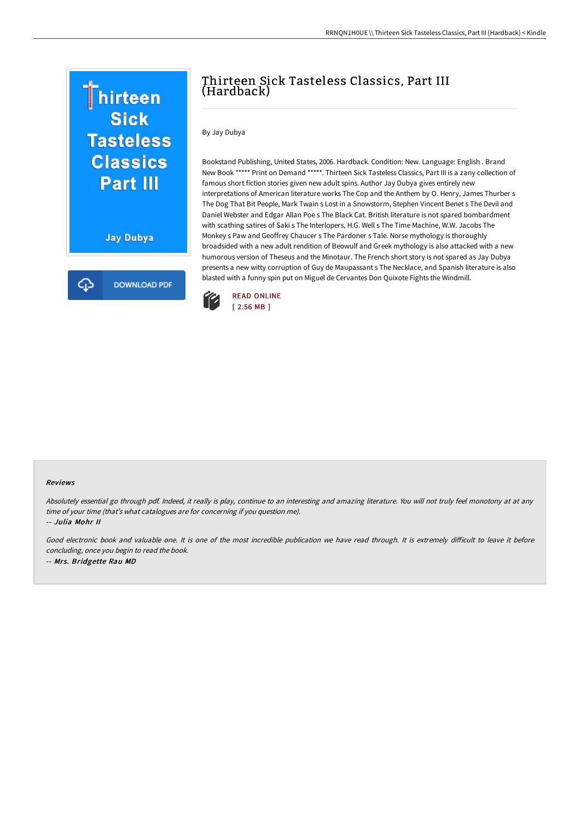

**Jay Dubya** 



## Thirteen Sick Tasteless Classics, Part III (Hardback)

By Jay Dubya

Bookstand Publishing, United States, 2006. Hardback. Condition: New. Language: English . Brand New Book \*\*\*\*\* Print on Demand \*\*\*\*\*. Thirteen Sick Tasteless Classics, Part III is a zany collection of famous short fiction stories given new adult spins. Author Jay Dubya gives entirely new interpretations of American literature works The Cop and the Anthem by O. Henry, James Thurber s The Dog That Bit People, Mark Twain s Lost in a Snowstorm, Stephen Vincent Benet s The Devil and Daniel Webster and Edgar Allan Poe s The Black Cat. British literature is not spared bombardment with scathing satires of Saki s The Interlopers, H.G. Well s The Time Machine, W.W. Jacobs The Monkey s Paw and Geoffrey Chaucer s The Pardoner s Tale. Norse mythology is thoroughly broadsided with a new adult rendition of Beowulf and Greek mythology is also attacked with a new humorous version of Theseus and the Minotaur. The French short story is not spared as Jay Dubya presents a new witty corruption of Guy de Maupassant s The Necklace, and Spanish literature is also blasted with a funny spin put on Miguel de Cervantes Don Quixote Fights the Windmill.



Absolutely essential go through pdf. Indeed, it really is play, continue to an interesting and amazing literature. You will not truly feel monotony at at any time of your time (that's what catalogues are for concerning if you question me). -- Julia Mohr II

Good electronic book and valuable one. It is one of the most incredible publication we have read through. It is extremely difficult to leave it before concluding, once you begin to read the book. -- Mrs. Bridgette Rau MD